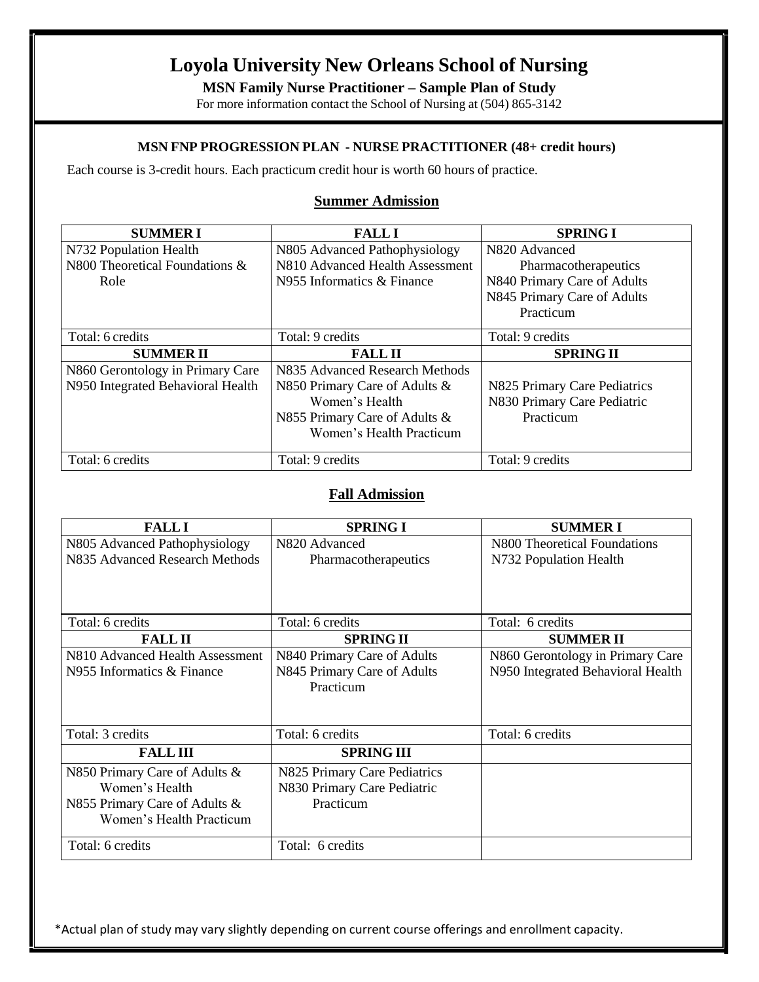# **Loyola University New Orleans School of Nursing**

**MSN Family Nurse Practitioner – Sample Plan of Study**

For more information contact the School of Nursing at (504) 865-3142

### **MSN FNP PROGRESSION PLAN - NURSE PRACTITIONER (48+ credit hours)**

Each course is 3-credit hours. Each practicum credit hour is worth 60 hours of practice.

#### **Summer Admission**

| <b>SUMMERI</b>                    | <b>FALL I</b>                   | <b>SPRING I</b>              |
|-----------------------------------|---------------------------------|------------------------------|
| N732 Population Health            | N805 Advanced Pathophysiology   | N820 Advanced                |
| N800 Theoretical Foundations &    | N810 Advanced Health Assessment | Pharmacotherapeutics         |
| Role                              | N955 Informatics & Finance      | N840 Primary Care of Adults  |
|                                   |                                 | N845 Primary Care of Adults  |
|                                   |                                 | Practicum                    |
| Total: 6 credits                  | Total: 9 credits                | Total: 9 credits             |
|                                   |                                 |                              |
| <b>SUMMERII</b>                   | <b>FALL II</b>                  | <b>SPRING II</b>             |
| N860 Gerontology in Primary Care  | N835 Advanced Research Methods  |                              |
| N950 Integrated Behavioral Health | N850 Primary Care of Adults &   | N825 Primary Care Pediatrics |
|                                   | Women's Health                  | N830 Primary Care Pediatric  |
|                                   | N855 Primary Care of Adults &   | Practicum                    |
|                                   | Women's Health Practicum        |                              |

#### **Fall Admission**

| <b>FALLI</b>                    | <b>SPRING I</b>              | <b>SUMMERI</b>                    |
|---------------------------------|------------------------------|-----------------------------------|
| N805 Advanced Pathophysiology   | N820 Advanced                | N800 Theoretical Foundations      |
| N835 Advanced Research Methods  | Pharmacotherapeutics         | N732 Population Health            |
|                                 |                              |                                   |
|                                 |                              |                                   |
| Total: 6 credits                | Total: 6 credits             | Total: 6 credits                  |
| <b>FALL II</b>                  | <b>SPRING II</b>             | <b>SUMMERII</b>                   |
| N810 Advanced Health Assessment | N840 Primary Care of Adults  | N860 Gerontology in Primary Care  |
| N955 Informatics & Finance      | N845 Primary Care of Adults  | N950 Integrated Behavioral Health |
|                                 | Practicum                    |                                   |
|                                 |                              |                                   |
|                                 |                              |                                   |
| Total: 3 credits                | Total: 6 credits             | Total: 6 credits                  |
| <b>FALLIII</b>                  | <b>SPRING III</b>            |                                   |
| N850 Primary Care of Adults &   | N825 Primary Care Pediatrics |                                   |
| Women's Health                  | N830 Primary Care Pediatric  |                                   |
| N855 Primary Care of Adults &   | Practicum                    |                                   |
| Women's Health Practicum        |                              |                                   |
|                                 |                              |                                   |
| Total: 6 credits                | Total: 6 credits             |                                   |

\*Actual plan of study may vary slightly depending on current course offerings and enrollment capacity.